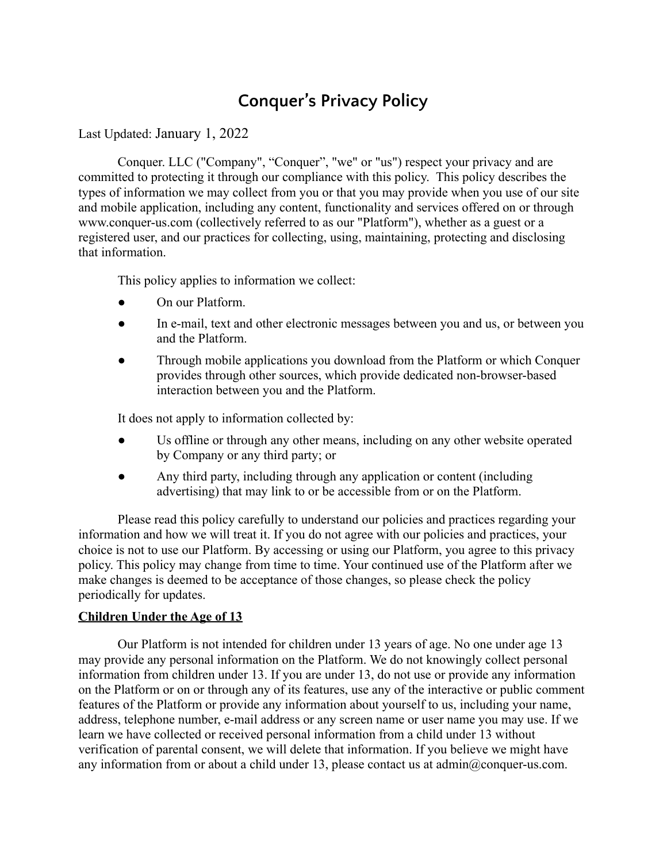# **Conquer's Privacy Policy**

## Last Updated: January 1, 2022

Conquer. LLC ("Company", "Conquer", "we" or "us") respect your privacy and are committed to protecting it through our compliance with this policy. This policy describes the types of information we may collect from you or that you may provide when you use of our site and mobile application, including any content, functionality and services offered on or through www.conquer-us.com (collectively referred to as our "Platform"), whether as a guest or a registered user, and our practices for collecting, using, maintaining, protecting and disclosing that information.

This policy applies to information we collect:

- On our Platform.
- In e-mail, text and other electronic messages between you and us, or between you and the Platform.
- Through mobile applications you download from the Platform or which Conquer provides through other sources, which provide dedicated non-browser-based interaction between you and the Platform.

It does not apply to information collected by:

- Us offline or through any other means, including on any other website operated by Company or any third party; or
- Any third party, including through any application or content (including advertising) that may link to or be accessible from or on the Platform.

Please read this policy carefully to understand our policies and practices regarding your information and how we will treat it. If you do not agree with our policies and practices, your choice is not to use our Platform. By accessing or using our Platform, you agree to this privacy policy. This policy may change from time to time. Your continued use of the Platform after we make changes is deemed to be acceptance of those changes, so please check the policy periodically for updates.

## **Children Under the Age of 13**

Our Platform is not intended for children under 13 years of age. No one under age 13 may provide any personal information on the Platform. We do not knowingly collect personal information from children under 13. If you are under 13, do not use or provide any information on the Platform or on or through any of its features, use any of the interactive or public comment features of the Platform or provide any information about yourself to us, including your name, address, telephone number, e-mail address or any screen name or user name you may use. If we learn we have collected or received personal information from a child under 13 without verification of parental consent, we will delete that information. If you believe we might have any information from or about a child under 13, please contact us at admin@conquer-us.com.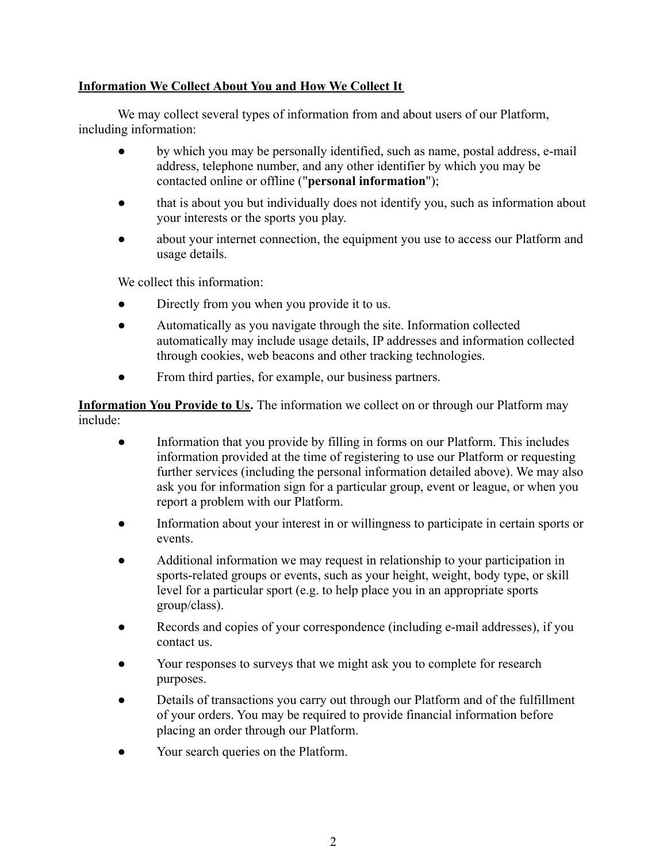# **Information We Collect About You and How We Collect It**

We may collect several types of information from and about users of our Platform, including information:

- by which you may be personally identified, such as name, postal address, e-mail address, telephone number, and any other identifier by which you may be contacted online or offline ("**personal information**");
- that is about you but individually does not identify you, such as information about your interests or the sports you play.
- about your internet connection, the equipment you use to access our Platform and usage details.

We collect this information:

- Directly from you when you provide it to us.
- Automatically as you navigate through the site. Information collected automatically may include usage details, IP addresses and information collected through cookies, web beacons and other tracking technologies.
- From third parties, for example, our business partners.

**Information You Provide to Us.** The information we collect on or through our Platform may include:

- Information that you provide by filling in forms on our Platform. This includes information provided at the time of registering to use our Platform or requesting further services (including the personal information detailed above). We may also ask you for information sign for a particular group, event or league, or when you report a problem with our Platform.
- Information about your interest in or willingness to participate in certain sports or events.
- Additional information we may request in relationship to your participation in sports-related groups or events, such as your height, weight, body type, or skill level for a particular sport (e.g. to help place you in an appropriate sports group/class).
- Records and copies of your correspondence (including e-mail addresses), if you contact us.
- Your responses to surveys that we might ask you to complete for research purposes.
- Details of transactions you carry out through our Platform and of the fulfillment of your orders. You may be required to provide financial information before placing an order through our Platform.
- Your search queries on the Platform.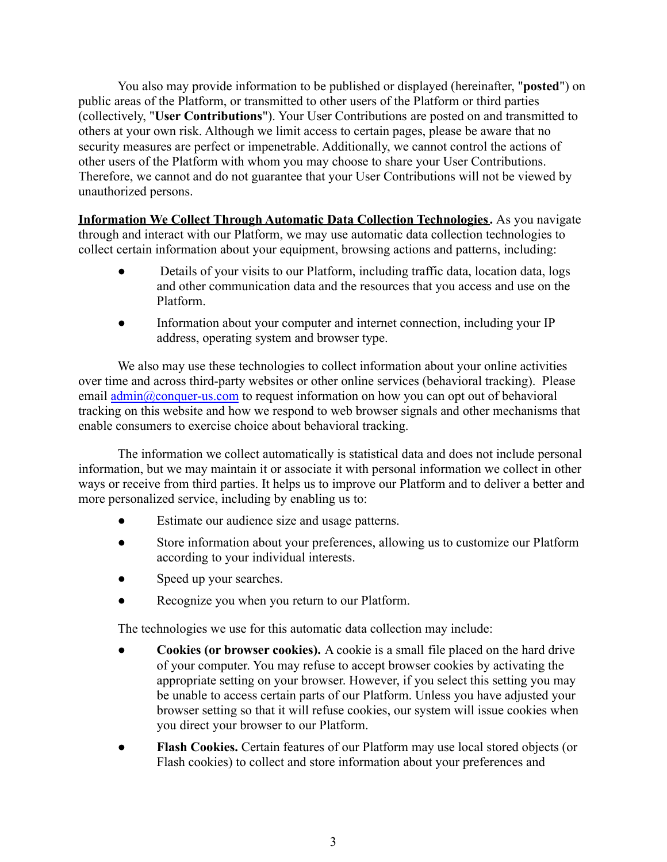You also may provide information to be published or displayed (hereinafter, "**posted**") on public areas of the Platform, or transmitted to other users of the Platform or third parties (collectively, "**User Contributions**"). Your User Contributions are posted on and transmitted to others at your own risk. Although we limit access to certain pages, please be aware that no security measures are perfect or impenetrable. Additionally, we cannot control the actions of other users of the Platform with whom you may choose to share your User Contributions. Therefore, we cannot and do not guarantee that your User Contributions will not be viewed by unauthorized persons.

**Information We Collect Through Automatic Data Collection Technologies.** As you navigate through and interact with our Platform, we may use automatic data collection technologies to collect certain information about your equipment, browsing actions and patterns, including:

- Details of your visits to our Platform, including traffic data, location data, logs and other communication data and the resources that you access and use on the Platform.
- Information about your computer and internet connection, including your IP address, operating system and browser type.

We also may use these technologies to collect information about your online activities over time and across third-party websites or other online services (behavioral tracking). Please email [admin@conquer-us.com](mailto:admin@conquer-us.com) to request information on how you can opt out of behavioral tracking on this website and how we respond to web browser signals and other mechanisms that enable consumers to exercise choice about behavioral tracking.

The information we collect automatically is statistical data and does not include personal information, but we may maintain it or associate it with personal information we collect in other ways or receive from third parties. It helps us to improve our Platform and to deliver a better and more personalized service, including by enabling us to:

- Estimate our audience size and usage patterns.
- Store information about your preferences, allowing us to customize our Platform according to your individual interests.
- Speed up your searches.
- Recognize you when you return to our Platform.

The technologies we use for this automatic data collection may include:

- **Cookies (or browser cookies).** A cookie is a small file placed on the hard drive of your computer. You may refuse to accept browser cookies by activating the appropriate setting on your browser. However, if you select this setting you may be unable to access certain parts of our Platform. Unless you have adjusted your browser setting so that it will refuse cookies, our system will issue cookies when you direct your browser to our Platform.
- **Flash Cookies.** Certain features of our Platform may use local stored objects (or Flash cookies) to collect and store information about your preferences and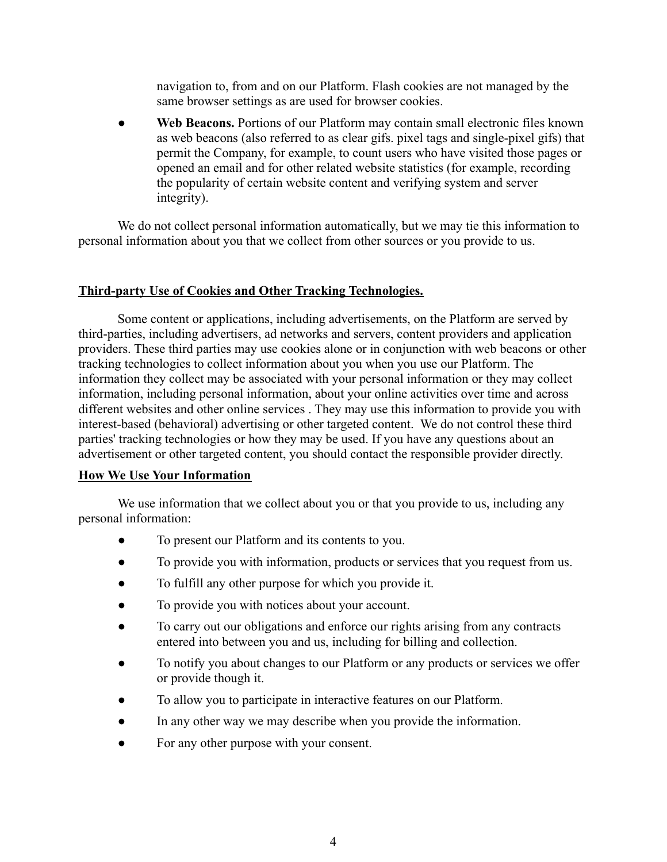navigation to, from and on our Platform. Flash cookies are not managed by the same browser settings as are used for browser cookies.

Web Beacons. Portions of our Platform may contain small electronic files known as web beacons (also referred to as clear gifs. pixel tags and single-pixel gifs) that permit the Company, for example, to count users who have visited those pages or opened an email and for other related website statistics (for example, recording the popularity of certain website content and verifying system and server integrity).

We do not collect personal information automatically, but we may tie this information to personal information about you that we collect from other sources or you provide to us.

## **Third-party Use of Cookies and Other Tracking Technologies.**

Some content or applications, including advertisements, on the Platform are served by third-parties, including advertisers, ad networks and servers, content providers and application providers. These third parties may use cookies alone or in conjunction with web beacons or other tracking technologies to collect information about you when you use our Platform. The information they collect may be associated with your personal information or they may collect information, including personal information, about your online activities over time and across different websites and other online services . They may use this information to provide you with interest-based (behavioral) advertising or other targeted content. We do not control these third parties' tracking technologies or how they may be used. If you have any questions about an advertisement or other targeted content, you should contact the responsible provider directly.

## **How We Use Your Information**

We use information that we collect about you or that you provide to us, including any personal information:

- To present our Platform and its contents to you.
- To provide you with information, products or services that you request from us.
- To fulfill any other purpose for which you provide it.
- To provide you with notices about your account.
- To carry out our obligations and enforce our rights arising from any contracts entered into between you and us, including for billing and collection.
- To notify you about changes to our Platform or any products or services we offer or provide though it.
- To allow you to participate in interactive features on our Platform.
- In any other way we may describe when you provide the information.
- For any other purpose with your consent.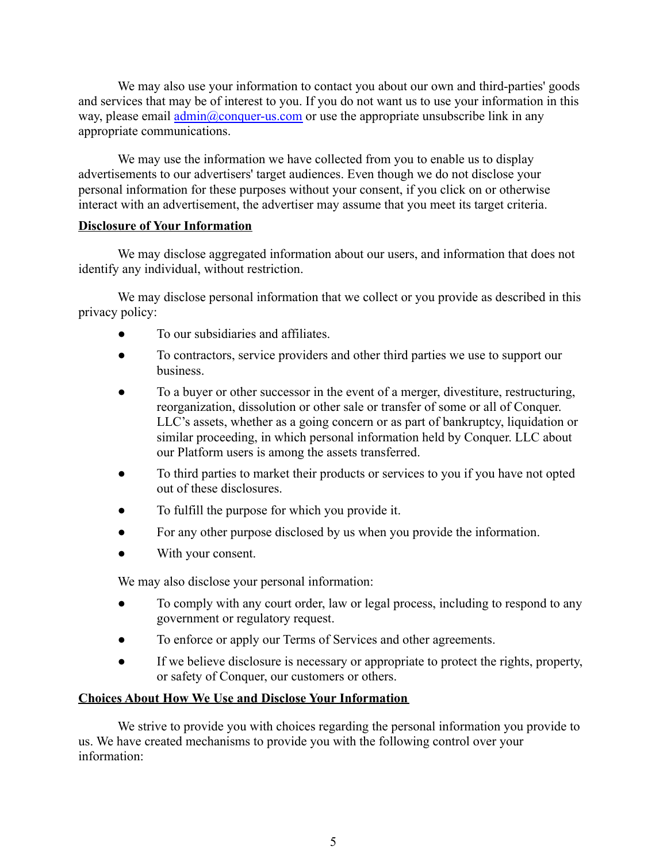We may also use your information to contact you about our own and third-parties' goods and services that may be of interest to you. If you do not want us to use your information in this way, please email  $\frac{\text{admin}(a)}{\text{conquer-us.com}}$  or use the appropriate unsubscribe link in any appropriate communications.

We may use the information we have collected from you to enable us to display advertisements to our advertisers' target audiences. Even though we do not disclose your personal information for these purposes without your consent, if you click on or otherwise interact with an advertisement, the advertiser may assume that you meet its target criteria.

## **Disclosure of Your Information**

We may disclose aggregated information about our users, and information that does not identify any individual, without restriction.

We may disclose personal information that we collect or you provide as described in this privacy policy:

- To our subsidiaries and affiliates.
- To contractors, service providers and other third parties we use to support our business.
- To a buyer or other successor in the event of a merger, divestiture, restructuring, reorganization, dissolution or other sale or transfer of some or all of Conquer. LLC's assets, whether as a going concern or as part of bankruptcy, liquidation or similar proceeding, in which personal information held by Conquer. LLC about our Platform users is among the assets transferred.
- To third parties to market their products or services to you if you have not opted out of these disclosures.
- To fulfill the purpose for which you provide it.
- For any other purpose disclosed by us when you provide the information.
- With your consent.

We may also disclose your personal information:

- To comply with any court order, law or legal process, including to respond to any government or regulatory request.
- To enforce or apply our Terms of Services and other agreements.
- If we believe disclosure is necessary or appropriate to protect the rights, property, or safety of Conquer, our customers or others.

# **Choices About How We Use and Disclose Your Information**

We strive to provide you with choices regarding the personal information you provide to us. We have created mechanisms to provide you with the following control over your information: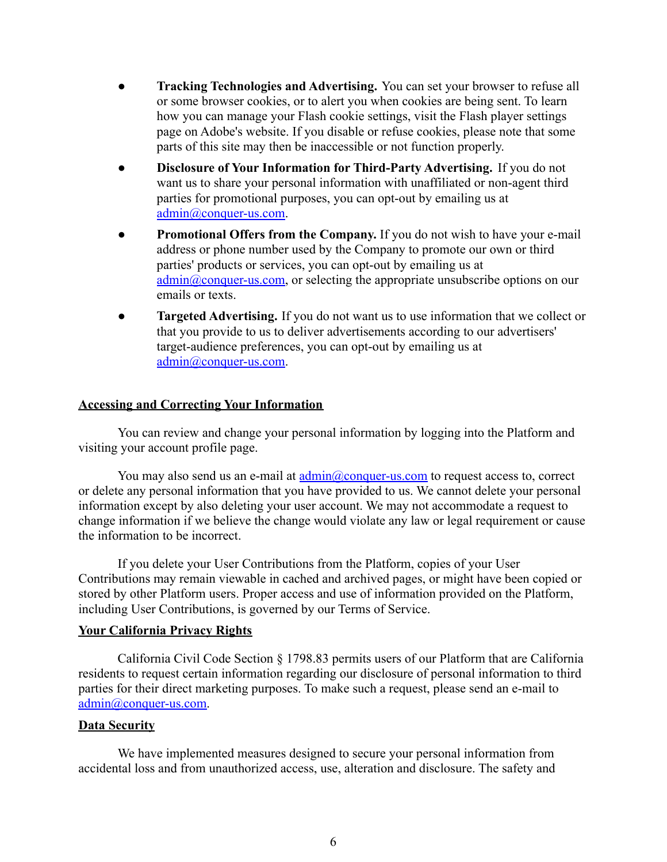- **Tracking Technologies and Advertising.** You can set your browser to refuse all or some browser cookies, or to alert you when cookies are being sent. To learn how you can manage your Flash cookie settings, visit the Flash player settings page on Adobe's website. If you disable or refuse cookies, please note that some parts of this site may then be inaccessible or not function properly.
- **Disclosure of Your Information for Third-Party Advertising.** If you do not want us to share your personal information with unaffiliated or non-agent third parties for promotional purposes, you can opt-out by emailing us at [admin@conquer-us.com.](mailto:admin@conquer-us.com)
- **Promotional Offers from the Company.** If you do not wish to have your e-mail address or phone number used by the Company to promote our own or third parties' products or services, you can opt-out by emailing us at [admin@conquer-us.com,](mailto:admin@conquer-us.com) or selecting the appropriate unsubscribe options on our emails or texts.
- **Targeted Advertising.** If you do not want us to use information that we collect or that you provide to us to deliver advertisements according to our advertisers' target-audience preferences, you can opt-out by emailing us at [admin@conquer-us.com.](mailto:admin@conquer-us.com)

## **Accessing and Correcting Your Information**

You can review and change your personal information by logging into the Platform and visiting your account profile page.

You may also send us an e-mail at [admin@conquer-us.com](mailto:admin@conquer-us.com) to request access to, correct or delete any personal information that you have provided to us. We cannot delete your personal information except by also deleting your user account. We may not accommodate a request to change information if we believe the change would violate any law or legal requirement or cause the information to be incorrect.

If you delete your User Contributions from the Platform, copies of your User Contributions may remain viewable in cached and archived pages, or might have been copied or stored by other Platform users. Proper access and use of information provided on the Platform, including User Contributions, is governed by our Terms of Service.

## **Your California Privacy Rights**

California Civil Code Section § 1798.83 permits users of our Platform that are California residents to request certain information regarding our disclosure of personal information to third parties for their direct marketing purposes. To make such a request, please send an e-mail to [admin@conquer-us.com.](mailto:admin@conquer-us.com)

# **Data Security**

We have implemented measures designed to secure your personal information from accidental loss and from unauthorized access, use, alteration and disclosure. The safety and